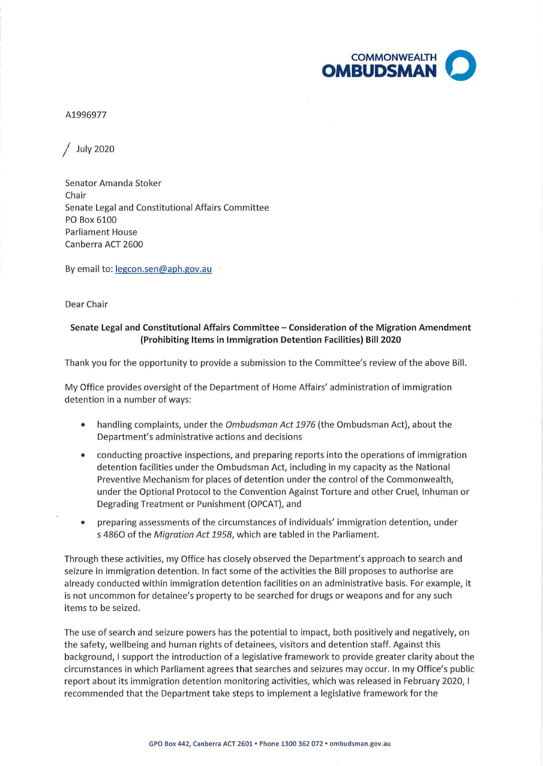

## A1996977

/ July 2020

Senator Amanda Stoker Chair Senate Legal and Constitutional Affairs Committee PO Box 6100 Parliament House Canberra ACT 2600

By email to: legcon.sen@aph.gov.au

Dear Chair

## **Senate Legal and Constitutional Affairs Committee** - **Consideration of the Migration Amendment (Prohibiting Items in Immigration Detention Facilities) Bill 2020**

Thank you for the opportunity to provide a submission to the Committee's review of the above Bill.

My Office provides oversight of the Department of Home Affairs' administration of immigration detention in a number of ways:

- handling complaints, under the *Ombudsman Act 1976* (the Ombudsman Act), about the Department's administrative actions and decisions
- conducting proactive inspections, and preparing reports into the operations of immigration detention facilities under the Ombudsman Act, including in my capacity as the National Preventive Mechanism for places of detention under the control of the Commonwealth, under the Optional Protocol to the Convention Against Torture and other Cruel, Inhuman or Degrading Treatment or Punishment {OPCAT), and
- preparing assessments of the circumstances of individuals' immigration detention, under s 4860 of the Migration Act 1958, which are tabled in the Parliament.

Through these activities, my Office has closely observed the Department's approach to search and seizure in immigration detention. In fact some of the activities the Bill proposes to authorise are already conducted within immigration detention facilities on an administrative basis. For example, it is not uncommon for detainee's property to be searched for drugs or weapons and for any such items to be seized.

The use of search and seizure powers has the potential to impact, both positively and negatively, on the safety, wellbeing and human rights of detainees, visitors and detention staff. Against this background, I support the introduction of a legislative framework to provide greater clarity about the circumstances in which Parliament agrees that searches and seizures may occur. In my Office's public report about its immigration detention monitoring activities, which was released in February 2020, I recommended that the Department take steps to implement a legislative framework for the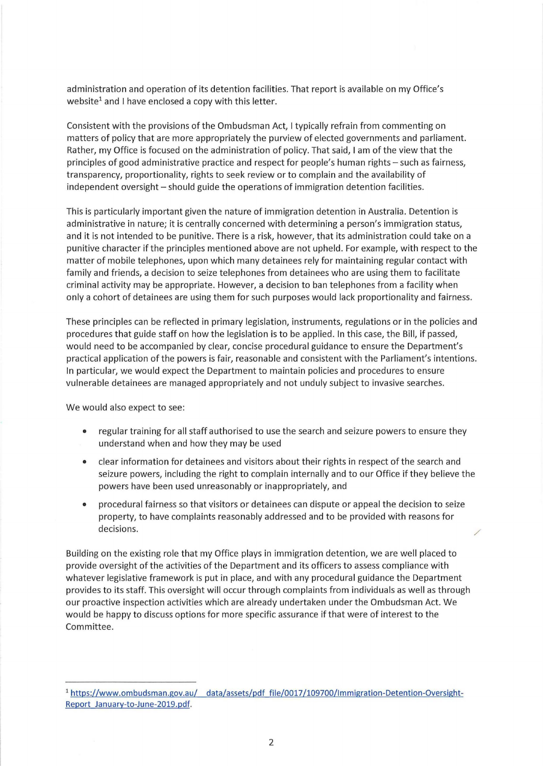administration and operation of its detention facilities. That report is available on my Office's website<sup>1</sup> and I have enclosed a copy with this letter.

Consistent with the provisions of the Ombudsman Act, I typically refrain from commenting on matters of policy that are more appropriately the purview of elected governments and parliament. Rather, my Office is focused on the administration of policy. That said, I am of the view that the principles of good administrative practice and respect for people's human rights- such as fairness, transparency, proportionality, rights to seek review or to complain and the availability of independent oversight – should guide the operations of immigration detention facilities.

This is particularly important given the nature of immigration detention in Australia. Detention is administrative in nature; it is centrally concerned with determining a person's immigration status, and it is not intended to be punitive. There is a risk, however, that its administration could take on a punitive character if the principles mentioned above are not upheld. For example, with respect to the matter of mobile telephones, upon which many detainees rely for maintaining regular contact with family and friends, a decision to seize telephones from detainees who are using them to facilitate criminal activity may be appropriate. However, a decision to ban telephones from a facility when only a cohort of detainees are using them for such purposes would lack proportionality and fairness.

These principles can be reflected in primary legislation, instruments, regulations or in the policies and procedures that guide staff on how the legislation is to be applied. In this case, the Bill, if passed, would need to be accompanied by clear, concise procedural guidance to ensure the Department's practical application of the powers is fair, reasonable and consistent with the Parliament's intentions. In particular, we would expect the Department to maintain policies and procedures to ensure vulnerable detainees are managed appropriately and not unduly subject to invasive searches.

We would also expect to see:

- regular training for all staff authorised to use the search and seizure powers to ensure they understand when and how they may be used
- clear information for detainees and visitors about their rights in respect of the search and seizure powers, including the right to complain internally and to our Office if they believe the powers have been used unreasonably or inappropriately, and
- procedural fairness so that visitors or detainees can dispute or appeal the decision to seize property, to have complaints reasonably addressed and to be provided with reasons for  $\blacksquare$  decisions.  $\blacksquare$

Building on the existing role that my Office plays in immigration detention, we are well placed to provide oversight of the activities of the Department and its officers to assess compliance with whatever legislative framework is put in place, and with any procedural guidance the Department provides to its staff. This oversight will occur through complaints from individuals as well as through our proactive inspection activities which are already undertaken under the Ombudsman Act. We would be happy to discuss options for more specific assurance if that were of interest to the Committee.

<sup>&</sup>lt;sup>1</sup> https://www.ombudsman.gov.au/ data/assets/pdf file/0017/109700/Immigration-Detention-Oversight-Report January-to-June-2019.pdf.